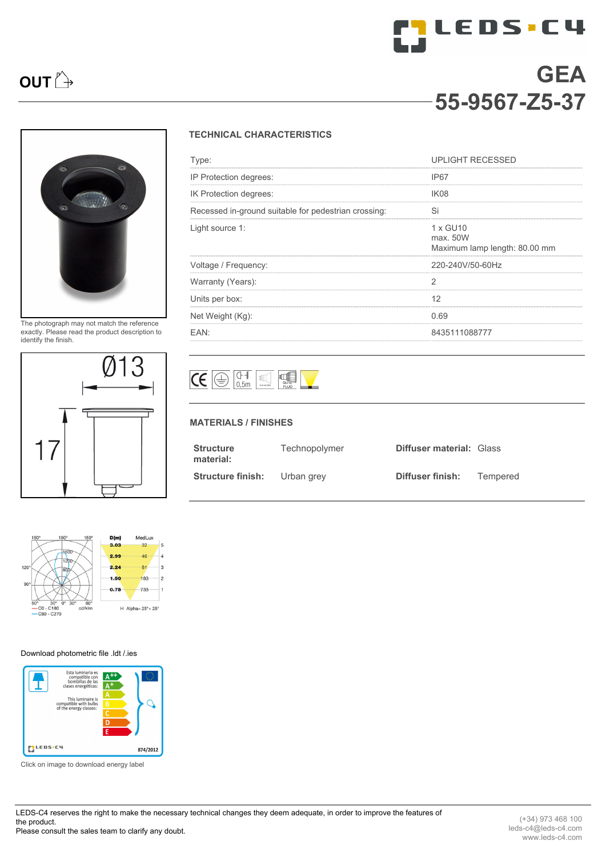# **TOLEDS.C4 OUT**  $\rightarrow$  **GEA 55-9567-Z5-37**



The photograph may not match the reference exactly. Please read the product description to identify the finish.



### $D(m)$ MedLux  $3.03$  $30$  $\overline{a}$ 2.99  $46$  $\frac{1}{4}$  $\overline{\phantom{a}}$  $2.24$  $R1$  $10$  $\overline{2}$  $1.50$ 183 733  $0.75$  $\overline{1}$  $-C0 - C180$ <br> $-C90 - C270$ H Alpha= $25^\circ + 25^\circ$  $dda$

### [Download photometric file .ldt /.ies](http://www.leds-c4.com/fm/55-9567-Z5-37.html)



Click on image to download energy label

LEDS-C4 reserves the right to make the necessary technical changes they deem adequate, in order to improve the features of the product. Please consult the sales team to clarify any doubt.

# **TECHNICAL CHARACTERISTICS**

| Type:                                                | <b>UPLIGHT RECESSED</b>                               |
|------------------------------------------------------|-------------------------------------------------------|
| IP Protection degrees:                               | IP67                                                  |
| IK Protection degrees:                               | IK <sub>08</sub>                                      |
| Recessed in-ground suitable for pedestrian crossing: | Si                                                    |
| Light source 1:                                      | 1 x GU10<br>max. 50W<br>Maximum lamp length: 80.00 mm |
| Voltage / Frequency:                                 | 220-240V/50-60Hz                                      |
| Warranty (Years):                                    |                                                       |
| Units per box:                                       | 12                                                    |
| Net Weight (Kg):                                     | 0.69                                                  |
| FAN <sup>.</sup>                                     | 8435111088777                                         |



## **MATERIALS / FINISHES**

| <b>Structure</b><br>material: | Technopolymer | <b>Diffuser material: Glass</b> |          |
|-------------------------------|---------------|---------------------------------|----------|
| <b>Structure finish:</b>      | Urban grey    | Diffuser finish:                | Tempered |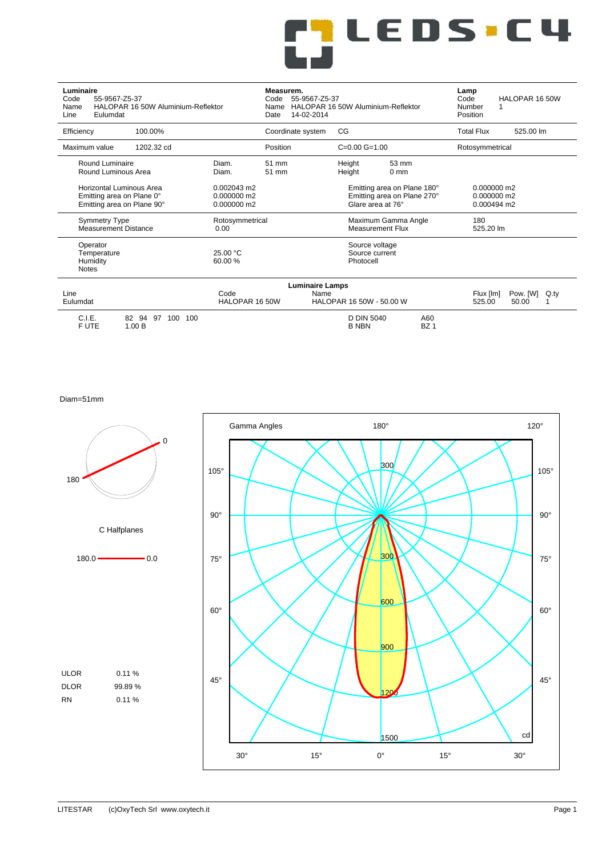# <mark>rj</mark> LEDS.C4<br>Lj

| Luminaire<br>55-9567-Z5-37<br>Code<br>Name<br>Eulumdat<br>Line                                                                                                    | HALOPAR 16 50W Aluminium-Reflektor |                                             | Measurem.<br>55-9567-Z5-37<br>Code<br>Name<br>14-02-2014<br>Date | HALOPAR 16 50W Aluminium-Reflektor             |                                                            | Lamp<br>Code<br>Number<br>Position | HALOPAR 16 50W                            |
|-------------------------------------------------------------------------------------------------------------------------------------------------------------------|------------------------------------|---------------------------------------------|------------------------------------------------------------------|------------------------------------------------|------------------------------------------------------------|------------------------------------|-------------------------------------------|
| Efficiency                                                                                                                                                        | 100.00%                            |                                             | Coordinate system                                                | CG                                             |                                                            | <b>Total Flux</b>                  | 525.00 lm                                 |
| Maximum value                                                                                                                                                     | 1202.32 cd                         |                                             | Position                                                         | $C=0.00$ $G=1.00$                              |                                                            | Rotosymmetrical                    |                                           |
| Round Luminaire<br>Round Luminous Area                                                                                                                            |                                    | Diam.<br>Diam.                              | 51 mm<br>51 mm                                                   | Height<br>Height                               | 53 mm<br>0 <sub>mm</sub>                                   |                                    |                                           |
| Horizontal Luminous Area<br>Emitting area on Plane 0°<br>Emitting area on Plane 90°                                                                               |                                    | 0.002043 m2<br>$0.000000$ m2<br>0.000000 m2 |                                                                  | Glare area at 76°                              | Emitting area on Plane 180°<br>Emitting area on Plane 270° |                                    | 0.000000 m2<br>0.000000 m2<br>0.000494 m2 |
| <b>Symmetry Type</b><br><b>Measurement Distance</b>                                                                                                               |                                    | Rotosymmetrical<br>0.00                     |                                                                  | Maximum Gamma Angle<br><b>Measurement Flux</b> |                                                            | 180<br>525.20 lm                   |                                           |
| Operator<br>Temperature<br>Humidity<br><b>Notes</b>                                                                                                               |                                    | 25.00 °C<br>60.00%                          |                                                                  | Source voltage<br>Source current<br>Photocell  |                                                            |                                    |                                           |
| <b>Luminaire Lamps</b><br>Line<br>Code<br>Name<br>Pow. [W]<br>Q.tv<br>Flux [lm]<br>HALOPAR 16 50W<br>HALOPAR 16 50W - 50.00 W<br>Eulumdat<br>525.00<br>50.00<br>1 |                                    |                                             |                                                                  |                                                |                                                            |                                    |                                           |
| C.I.E.<br>F UTE                                                                                                                                                   | 82 94<br>97<br>100<br>100<br>1.00B |                                             |                                                                  | D DIN 5040<br><b>B NBN</b>                     | A60<br>BZ <sub>1</sub>                                     |                                    |                                           |

Diam=51mm

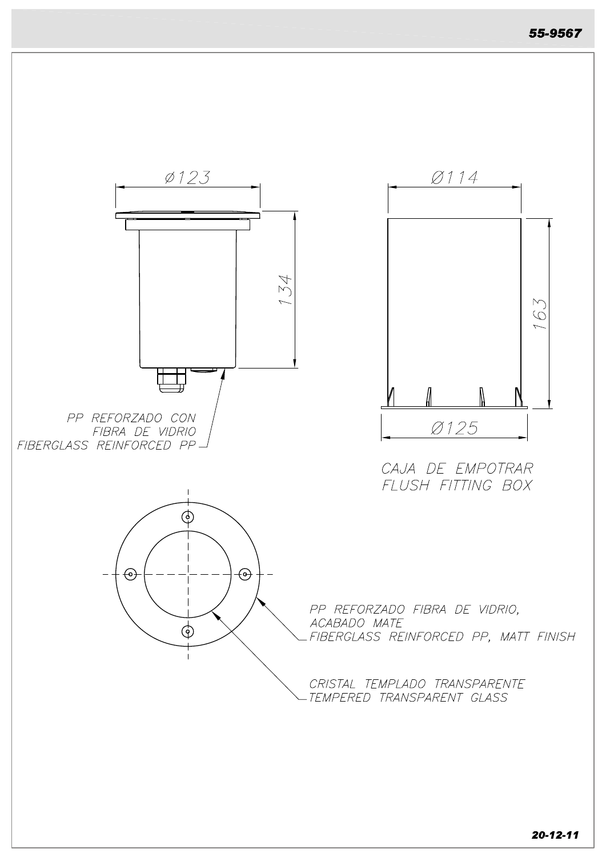